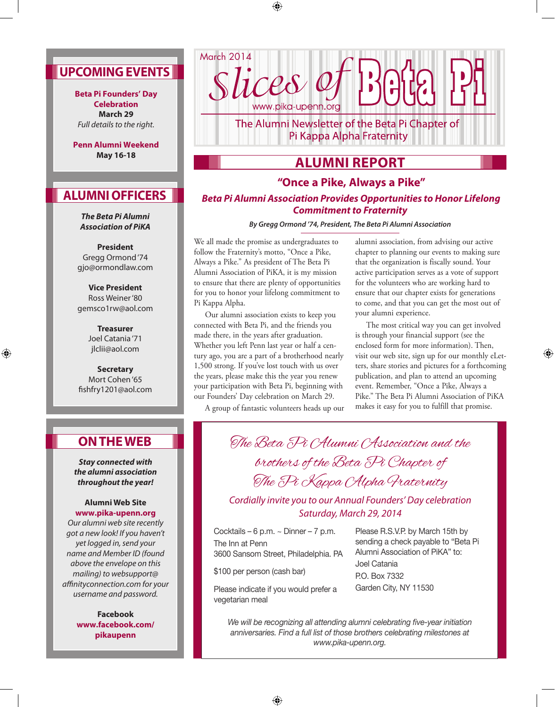# **Upcoming Events**

**Beta Pi Founders' Day Celebration March 29**  *Full details to the right.*

**Penn Alumni Weekend May 16-18**

# **Alumni Officers**

*The Beta Pi Alumni Association of PiKA*

**President** Gregg Ormond '74 gjo@ormondlaw.com

**Vice President** Ross Weiner '80 gemsco1rw@aol.com

> **Treasurer**  Joel Catania '71 jlclii@aol.com

⊕

**Secretary** Mort Cohen '65 fishfry1201@aol.com

# **On The web**

*Stay connected with the alumni association throughout the year!*

#### **Alumni Web Site www.pika-upenn.org**

*Our alumni web site recently got a new look! If you haven't yet logged in, send your name and Member ID (found above the envelope on this mailing) to websupport@ affinityconnection.com for your username and password.*

> **Facebook www.facebook.com/ pikaupenn**

www.pika-upenn.org The Alumni Newsletter of the Beta Pi Chapter of Pi Kappa Alpha Fraternity

**Alumni Report**

### **"Once a Pike, Always a Pike"**

### *Beta Pi Alumni Association Provides Opportunities to Honor Lifelong Commitment to Fraternity*

*By Gregg Ormond '74, President, The Beta Pi Alumni Association* 

We all made the promise as undergraduates to follow the Fraternity's motto, "Once a Pike, Always a Pike." As president of The Beta Pi Alumni Association of PiKA, it is my mission to ensure that there are plenty of opportunities for you to honor your lifelong commitment to Pi Kappa Alpha.

March 2014

⊕

ices e

Our alumni association exists to keep you connected with Beta Pi, and the friends you made there, in the years after graduation. Whether you left Penn last year or half a century ago, you are a part of a brotherhood nearly 1,500 strong. If you've lost touch with us over the years, please make this the year you renew your participation with Beta Pi, beginning with our Founders' Day celebration on March 29.

A group of fantastic volunteers heads up our

alumni association, from advising our active chapter to planning our events to making sure that the organization is fiscally sound. Your active participation serves as a vote of support for the volunteers who are working hard to ensure that our chapter exists for generations to come, and that you can get the most out of your alumni experience.

The most critical way you can get involved is through your financial support (see the enclosed form for more information). Then, visit our web site, sign up for our monthly eLetters, share stories and pictures for a forthcoming publication, and plan to attend an upcoming event. Remember, "Once a Pike, Always a Pike." The Beta Pi Alumni Association of PiKA makes it easy for you to fulfill that promise.

⊕

The Beta Pi Alumni Association and the brothers of the Beta Pi Chapter of The Pi Kappa CAlpha Praternity

*Cordially invite you to our Annual Founders' Day celebration Saturday, March 29, 2014*

Cocktails – 6 p.m. ~ Dinner – 7 p.m. The Inn at Penn 3600 Sansom Street, Philadelphia. PA

\$100 per person (cash bar)

Alumni Association of PiKA" to: Joel Catania P.O. Box 7332 Garden City, NY 11530

Please R.S.V.P. by March 15th by sending a check payable to "Beta Pi

Please indicate if you would prefer a vegetarian meal

> *We will be recognizing all attending alumni celebrating five-year initiation anniversaries. Find a full list of those brothers celebrating milestones at www.pika-upenn.org.*

> > $\bigoplus$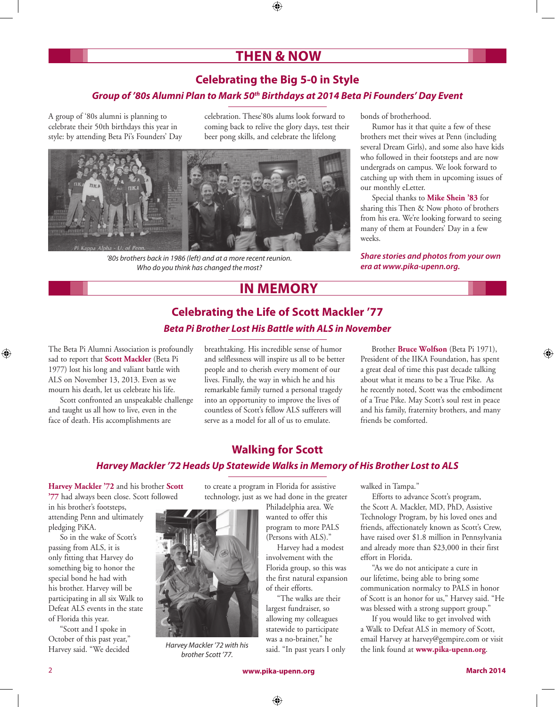# **Then & Now**

## **Celebrating the Big 5-0 in Style**

### *Group of '80s Alumni Plan to Mark 50th Birthdays at 2014 Beta Pi Founders' Day Event*

A group of '80s alumni is planning to celebrate their 50th birthdays this year in style: by attending Beta Pi's Founders' Day celebration. These'80s alums look forward to coming back to relive the glory days, test their beer pong skills, and celebrate the lifelong



*'80s brothers back in 1986 (left) and at a more recent reunion. Who do you think has changed the most?*

bonds of brotherhood.

Rumor has it that quite a few of these brothers met their wives at Penn (including several Dream Girls), and some also have kids who followed in their footsteps and are now undergrads on campus. We look forward to catching up with them in upcoming issues of our monthly eLetter.

Special thanks to **Mike Shein '83** for sharing this Then & Now photo of brothers from his era. We're looking forward to seeing many of them at Founders' Day in a few weeks.

#### *Share stories and photos from your own era at www.pika-upenn.org.*

## **In Memory**

## **Celebrating the Life of Scott Mackler '77**  *Beta Pi Brother Lost His Battle with ALS in November*

The Beta Pi Alumni Association is profoundly sad to report that **Scott Mackler** (Beta Pi 1977) lost his long and valiant battle with ALS on November 13, 2013. Even as we mourn his death, let us celebrate his life.

Scott confronted an unspeakable challenge and taught us all how to live, even in the face of death. His accomplishments are

breathtaking. His incredible sense of humor and selflessness will inspire us all to be better people and to cherish every moment of our lives. Finally, the way in which he and his remarkable family turned a personal tragedy into an opportunity to improve the lives of countless of Scott's fellow ALS sufferers will serve as a model for all of us to emulate.

 Brother **Bruce Wolfson** (Beta Pi 1971), President of the IIKA Foundation, has spent a great deal of time this past decade talking about what it means to be a True Pike. As he recently noted, Scott was the embodiment of a True Pike. May Scott's soul rest in peace and his family, fraternity brothers, and many friends be comforted.

## **Walking for Scott**

### *Harvey Mackler '72 Heads Up Statewide Walks in Memory of His Brother Lost to ALS*

**Harvey Mackler '72** and his brother **Scott '77** had always been close. Scott followed

in his brother's footsteps, attending Penn and ultimately pledging PiKA.

So in the wake of Scott's passing from ALS, it is only fitting that Harvey do something big to honor the special bond he had with his brother. Harvey will be participating in all six Walk to Defeat ALS events in the state of Florida this year.

"Scott and I spoke in October of this past year," Harvey said. "We decided to create a program in Florida for assistive technology, just as we had done in the greater

> Philadelphia area. We wanted to offer this program to more PALS (Persons with ALS)."

 Harvey had a modest involvement with the Florida group, so this was the first natural expansion of their efforts.

 "The walks are their largest fundraiser, so allowing my colleagues statewide to participate was a no-brainer," he said. "In past years I only walked in Tampa."

Efforts to advance Scott's program, the Scott A. Mackler, MD, PhD, Assistive Technology Program, by his loved ones and friends, affectionately known as Scott's Crew, have raised over \$1.8 million in Pennsylvania and already more than \$23,000 in their first effort in Florida.

"As we do not anticipate a cure in our lifetime, being able to bring some communication normalcy to PALS in honor of Scott is an honor for us," Harvey said. "He was blessed with a strong support group."

If you would like to get involved with a Walk to Defeat ALS in memory of Scott, email Harvey at harvey@gempire.com or visit the link found at **www.pika-upenn.org**.

⊕

*Harvey Mackler '72 with his brother Scott '77.* 

⊕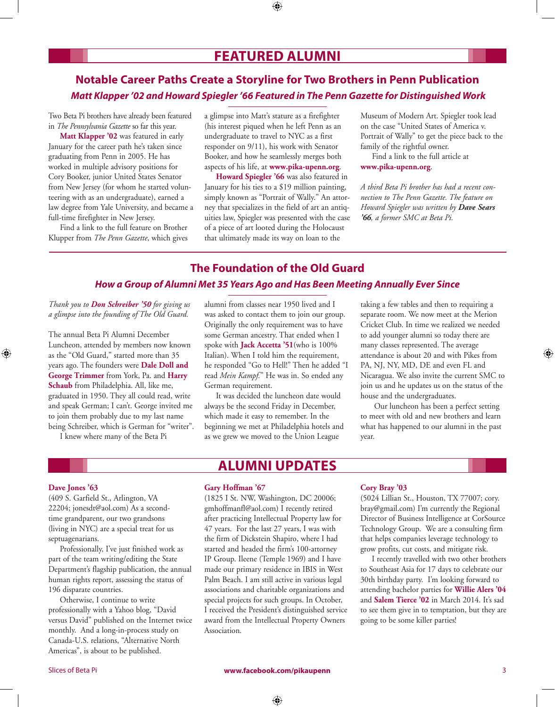# **Featured Alumni**

⊕

## **Notable Career Paths Create a Storyline for Two Brothers in Penn Publication**  *Matt Klapper '02 and Howard Spiegler '66 Featured in The Penn Gazette for Distinguished Work*

Two Beta Pi brothers have already been featured in *The Pennsylvania Gazette* so far this year.

**Matt Klapper '02** was featured in early January for the career path he's taken since graduating from Penn in 2005. He has worked in multiple advisory positions for Cory Booker, junior United States Senator from New Jersey (for whom he started volunteering with as an undergraduate), earned a law degree from Yale University, and became a full-time firefighter in New Jersey.

Find a link to the full feature on Brother Klupper from *The Penn Gazette*, which gives a glimpse into Matt's stature as a firefighter (his interest piqued when he left Penn as an undergraduate to travel to NYC as a first responder on 9/11), his work with Senator Booker, and how he seamlessly merges both aspects of his life, at **www.pika-upenn.org**.

**Howard Spiegler '66** was also featured in January for his ties to a \$19 million painting, simply known as "Portrait of Wally." An attorney that specializes in the field of art an antiquities law, Spiegler was presented with the case of a piece of art looted during the Holocaust that ultimately made its way on loan to the

Museum of Modern Art. Spiegler took lead on the case "United States of America v. Portrait of Wally" to get the piece back to the family of the rightful owner.

Find a link to the full article at **www.pika-upenn.org**.

*A third Beta Pi brother has had a recent connection to The Penn Gazette. The feature on Howard Spiegler was written by Dave Sears '66, a former SMC at Beta Pi.*

## **The Foundation of the Old Guard**

### *How a Group of Alumni Met 35 Years Ago and Has Been Meeting Annually Ever Since*

*Thank you to Don Schreiber '50 for giving us a glimpse into the founding of The Old Guard.*

The annual Beta Pi Alumni December Luncheon, attended by members now known as the "Old Guard," started more than 35 years ago. The founders were **Dale Doll and George Trimmer** from York, Pa. and **Harry Schaub** from Philadelphia. All, like me, graduated in 1950. They all could read, write and speak German; I can't. George invited me to join them probably due to my last name being Schreiber, which is German for "writer".

I knew where many of the Beta Pi

alumni from classes near 1950 lived and I was asked to contact them to join our group. Originally the only requirement was to have some German ancestry. That ended when I spoke with **Jack Accetta '51**(who is 100% Italian). When I told him the requirement, he responded "Go to Hell!" Then he added "I read *Mein Kampf.*" He was in. So ended any German requirement.

It was decided the luncheon date would always be the second Friday in December, which made it easy to remember. In the beginning we met at Philadelphia hotels and as we grew we moved to the Union League

**Alumni Updates**

taking a few tables and then to requiring a separate room. We now meet at the Merion Cricket Club. In time we realized we needed to add younger alumni so today there are many classes represented. The average attendance is about 20 and with Pikes from PA, NJ, NY, MD, DE and even FL and Nicaragua. We also invite the current SMC to join us and he updates us on the status of the house and the undergraduates.

 Our luncheon has been a perfect setting to meet with old and new brothers and learn what has happened to our alumni in the past year.

#### **Dave Jones '63**

⊕

(409 S. Garfield St., Arlington, VA 22204; jonesdt@aol.com) As a secondtime grandparent, our two grandsons (living in NYC) are a special treat for us septuagenarians.

Professionally, I've just finished work as part of the team writing/editing the State Department's flagship publication, the annual human rights report, assessing the status of 196 disparate countries.

Otherwise, I continue to write professionally with a Yahoo blog, "David versus David" published on the Internet twice monthly. And a long-in-process study on Canada-U.S. relations, "Alternative North Americas", is about to be published.

#### **Gary Hoffman '67**

(1825 I St. NW, Washington, DC 20006; gmhoffmanfl@aol.com) I recently retired after practicing Intellectual Property law for 47 years. For the last 27 years, I was with the firm of Dickstein Shapiro, where I had started and headed the firm's 100-attorney IP Group. Ileene (Temple 1969) and I have made our primary residence in IBIS in West Palm Beach. I am still active in various legal associations and charitable organizations and special projects for such groups. In October, I received the President's distinguished service award from the Intellectual Property Owners Association.

#### **Cory Bray '03**

(5024 Lillian St., Houston, TX 77007; cory. bray@gmail.com) I'm currently the Regional Director of Business Intelligence at CorSource Technology Group. We are a consulting firm that helps companies leverage technology to grow profits, cut costs, and mitigate risk.

I recently travelled with two other brothers to Southeast Asia for 17 days to celebrate our 30th birthday party. I'm looking forward to attending bachelor parties for **Willie Alers '04**  and **Salem Tierce '02** in March 2014. It's sad to see them give in to temptation, but they are going to be some killer parties!

Slices of Beta Pi **www.facebook.com/pikaupenn** 3

⊕

⊕